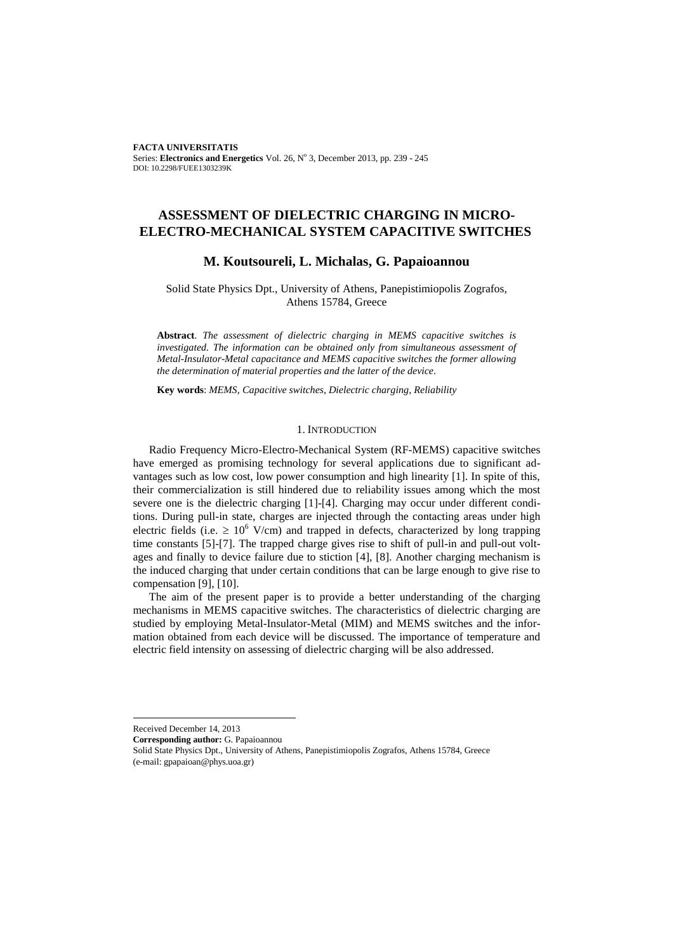**FACTA UNIVERSITATIS** Series: Electronics and Energetics Vol. 26, Nº 3, December 2013, pp. 239 - 245 DOI: 10.2298/FUEE1303239K

# **ASSESSMENT OF DIELECTRIC CHARGING IN MICRO-ELECTRO-MECHANICAL SYSTEM CAPACITIVE SWITCHES**

## **M. Koutsoureli, L. Michalas, G. Papaioannou**

Solid State Physics Dpt., University of Athens, Panepistimiopolis Zografos, Athens 15784, Greece

**Abstract**. *The assessment of dielectric charging in MEMS capacitive switches is investigated. The information can be obtained only from simultaneous assessment of Metal-Insulator-Metal capacitance and MEMS capacitive switches the former allowing the determination of material properties and the latter of the device*.

**Key words**: *MEMS, Capacitive switches, Dielectric charging, Reliability*

## 1. INTRODUCTION

Radio Frequency Micro-Electro-Mechanical System (RF-MEMS) capacitive switches have emerged as promising technology for several applications due to significant advantages such as low cost, low power consumption and high linearity [1]. In spite of this, their commercialization is still hindered due to reliability issues among which the most severe one is the dielectric charging [1]-[4]. Charging may occur under different conditions. During pull-in state, charges are injected through the contacting areas under high electric fields (i.e.  $\geq 10^6$  V/cm) and trapped in defects, characterized by long trapping time constants [5]-[7]. The trapped charge gives rise to shift of pull-in and pull-out voltages and finally to device failure due to stiction [4], [8]. Another charging mechanism is the induced charging that under certain conditions that can be large enough to give rise to compensation [9], [10].

The aim of the present paper is to provide a better understanding of the charging mechanisms in MEMS capacitive switches. The characteristics of dielectric charging are studied by employing Metal-Insulator-Metal (MIM) and MEMS switches and the information obtained from each device will be discussed. The importance of temperature and electric field intensity on assessing of dielectric charging will be also addressed.

Received December 14, 2013

l

**Corresponding author:** G. Papaioannou

Solid State Physics Dpt., University of Athens, Panepistimiopolis Zografos, Athens 15784, Greece (e-mail: gpapaioan@phys.uoa.gr)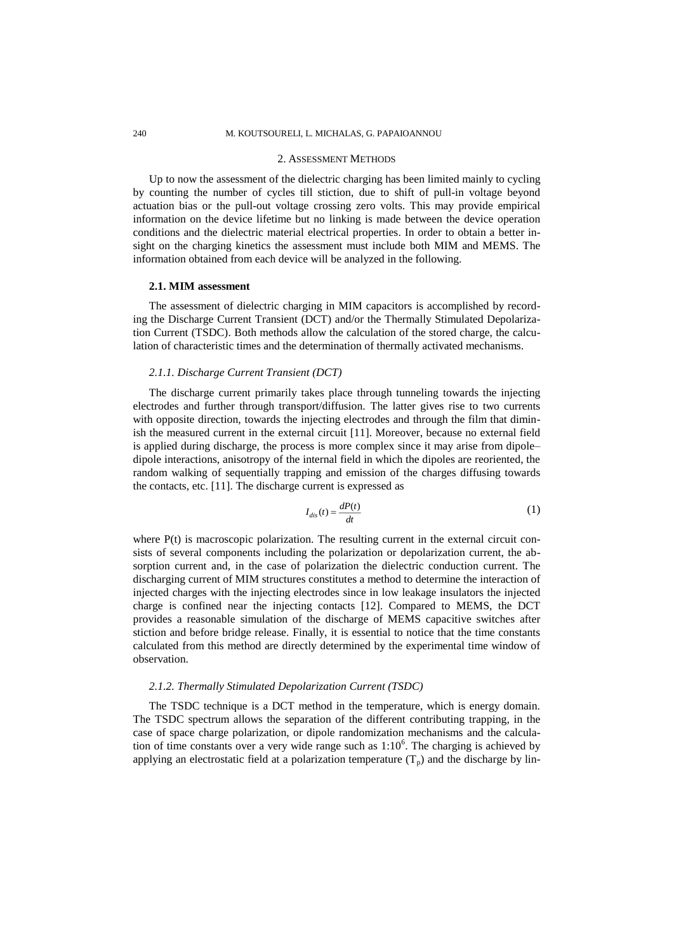### 240 M. KOUTSOURELI, L. MICHALAS, G. PAPAIOANNOU

#### 2. ASSESSMENT METHODS

Up to now the assessment of the dielectric charging has been limited mainly to cycling by counting the number of cycles till stiction, due to shift of pull-in voltage beyond actuation bias or the pull-out voltage crossing zero volts. This may provide empirical information on the device lifetime but no linking is made between the device operation conditions and the dielectric material electrical properties. In order to obtain a better insight on the charging kinetics the assessment must include both MIM and MEMS. The information obtained from each device will be analyzed in the following.

### **2.1. MIM assessment**

The assessment of dielectric charging in MIM capacitors is accomplished by recording the Discharge Current Transient (DCT) and/or the Thermally Stimulated Depolarization Current (TSDC). Both methods allow the calculation of the stored charge, the calculation of characteristic times and the determination of thermally activated mechanisms.

### *2.1.1. Discharge Current Transient (DCT)*

The discharge current primarily takes place through tunneling towards the injecting electrodes and further through transport/diffusion. The latter gives rise to two currents with opposite direction, towards the injecting electrodes and through the film that diminish the measured current in the external circuit [11]. Moreover, because no external field is applied during discharge, the process is more complex since it may arise from dipole– dipole interactions, anisotropy of the internal field in which the dipoles are reoriented, the random walking of sequentially trapping and emission of the charges diffusing towards the contacts, etc. [11]. The discharge current is expressed as

$$
I_{dis}(t) = \frac{dP(t)}{dt} \tag{1}
$$

where P(t) is macroscopic polarization. The resulting current in the external circuit consists of several components including the polarization or depolarization current, the absorption current and, in the case of polarization the dielectric conduction current. The discharging current of MIM structures constitutes a method to determine the interaction of injected charges with the injecting electrodes since in low leakage insulators the injected charge is confined near the injecting contacts [12]. Compared to MEMS, the DCT provides a reasonable simulation of the discharge of MEMS capacitive switches after stiction and before bridge release. Finally, it is essential to notice that the time constants calculated from this method are directly determined by the experimental time window of observation.

#### *2.1.2. Thermally Stimulated Depolarization Current (TSDC)*

The TSDC technique is a DCT method in the temperature, which is energy domain. The TSDC spectrum allows the separation of the different contributing trapping, in the case of space charge polarization, or dipole randomization mechanisms and the calculation of time constants over a very wide range such as  $1:10^6$ . The charging is achieved by applying an electrostatic field at a polarization temperature  $(T_p)$  and the discharge by lin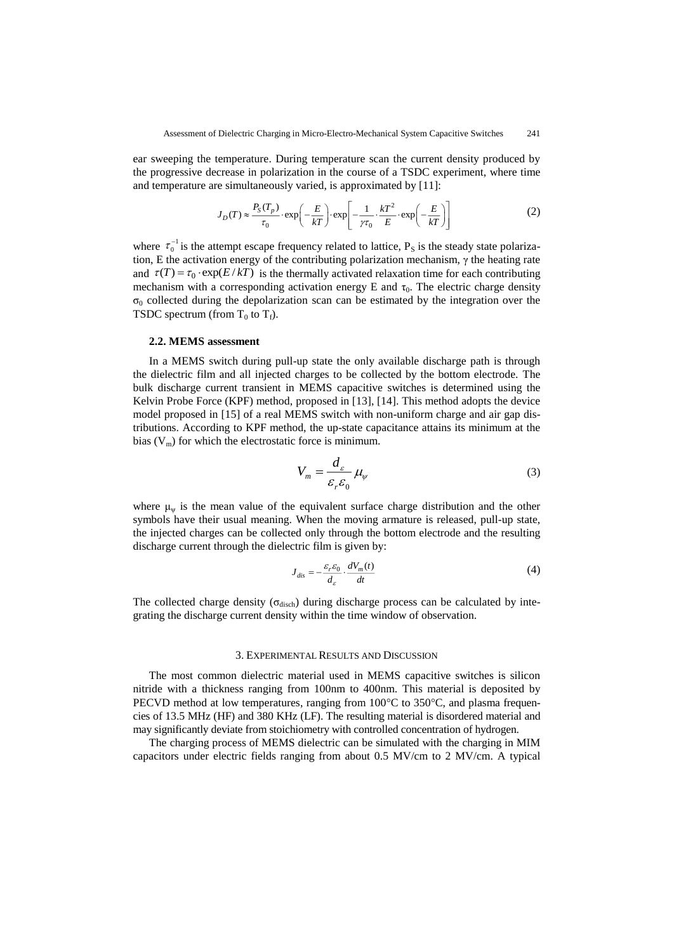ear sweeping the temperature. During temperature scan the current density produced by the progressive decrease in polarization in the course of a TSDC experiment, where time

and temperature are simultaneously varied, is approximated by [11]:  
\n
$$
J_D(T) \approx \frac{P_S(T_p)}{\tau_0} \cdot \exp\left(-\frac{E}{kT}\right) \cdot \exp\left[-\frac{1}{\gamma \tau_0} \cdot \frac{kT^2}{E} \cdot \exp\left(-\frac{E}{kT}\right)\right]
$$
\n(2)

where  $\tau_0^{-1}$  is the attempt escape frequency related to lattice,  $P_s$  is the steady state polarization, E the activation energy of the contributing polarization mechanism,  $\gamma$  the heating rate and  $\tau(T) = \tau_0 \cdot \exp(E/kT)$  is the thermally activated relaxation time for each contributing mechanism with a corresponding activation energy E and  $\tau_0$ . The electric charge density  $\sigma_0$  collected during the depolarization scan can be estimated by the integration over the TSDC spectrum (from  $T_0$  to  $T_f$ ).

#### **2.2. MEMS assessment**

In a MEMS switch during pull-up state the only available discharge path is through the dielectric film and all injected charges to be collected by the bottom electrode. The bulk discharge current transient in MEMS capacitive switches is determined using the Kelvin Probe Force (KPF) method, proposed in [13], [14]. This method adopts the device model proposed in [15] of a real MEMS switch with non-uniform charge and air gap distributions. According to KPF method, the up-state capacitance attains its minimum at the bias  $(V_m)$  for which the electrostatic force is minimum.

$$
V_m = \frac{d_{\varepsilon}}{\varepsilon_r \varepsilon_0} \mu_{\psi} \tag{3}
$$

where  $\mu_{\psi}$  is the mean value of the equivalent surface charge distribution and the other symbols have their usual meaning. When the moving armature is released, pull-up state, the injected charges can be collected only through the bottom electrode and the resulting discharge current through the dielectric film is given by:

$$
J_{dis} = -\frac{\varepsilon_r \varepsilon_0}{d_{\varepsilon}} \cdot \frac{dV_m(t)}{dt} \tag{4}
$$

The collected charge density ( $\sigma_{\text{disch}}$ ) during discharge process can be calculated by integrating the discharge current density within the time window of observation.

#### 3. EXPERIMENTAL RESULTS AND DISCUSSION

The most common dielectric material used in MEMS capacitive switches is silicon nitride with a thickness ranging from 100nm to 400nm. This material is deposited by PECVD method at low temperatures, ranging from  $100^{\circ}$ C to  $350^{\circ}$ C, and plasma frequencies of 13.5 MHz (HF) and 380 KHz (LF). The resulting material is disordered material and may significantly deviate from stoichiometry with controlled concentration of hydrogen.

The charging process of MEMS dielectric can be simulated with the charging in MIM capacitors under electric fields ranging from about 0.5 MV/cm to 2 MV/cm. A typical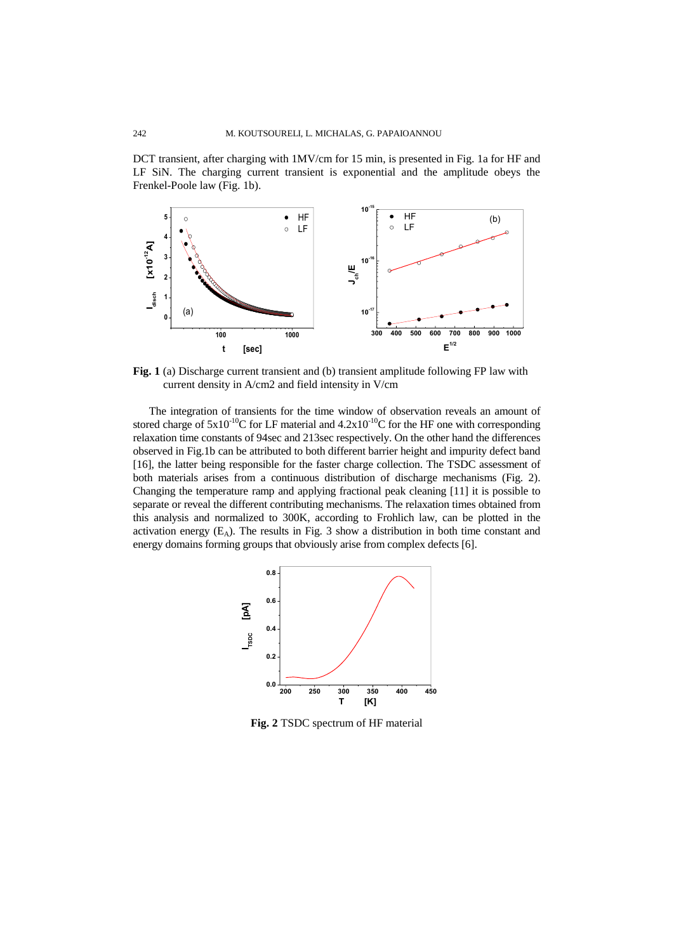DCT transient, after charging with 1MV/cm for 15 min, is presented in Fig. 1a for HF and LF SiN. The charging current transient is exponential and the amplitude obeys the Frenkel-Poole law (Fig. 1b).



**Fig. 1** (a) Discharge current transient and (b) transient amplitude following FP law with current density in A/cm2 and field intensity in V/cm

The integration of transients for the time window of observation reveals an amount of stored charge of  $5x10^{-10}$ C for LF material and  $4.2x10^{-10}$ C for the HF one with corresponding relaxation time constants of 94sec and 213sec respectively. On the other hand the differences observed in Fig.1b can be attributed to both different barrier height and impurity defect band [16], the latter being responsible for the faster charge collection. The TSDC assessment of both materials arises from a continuous distribution of discharge mechanisms (Fig. 2). Changing the temperature ramp and applying fractional peak cleaning [11] it is possible to separate or reveal the different contributing mechanisms. The relaxation times obtained from this analysis and normalized to 300K, according to Frohlich law, can be plotted in the activation energy  $(E_A)$ . The results in Fig. 3 show a distribution in both time constant and energy domains forming groups that obviously arise from complex defects [6].



**Fig. 2** TSDC spectrum of HF material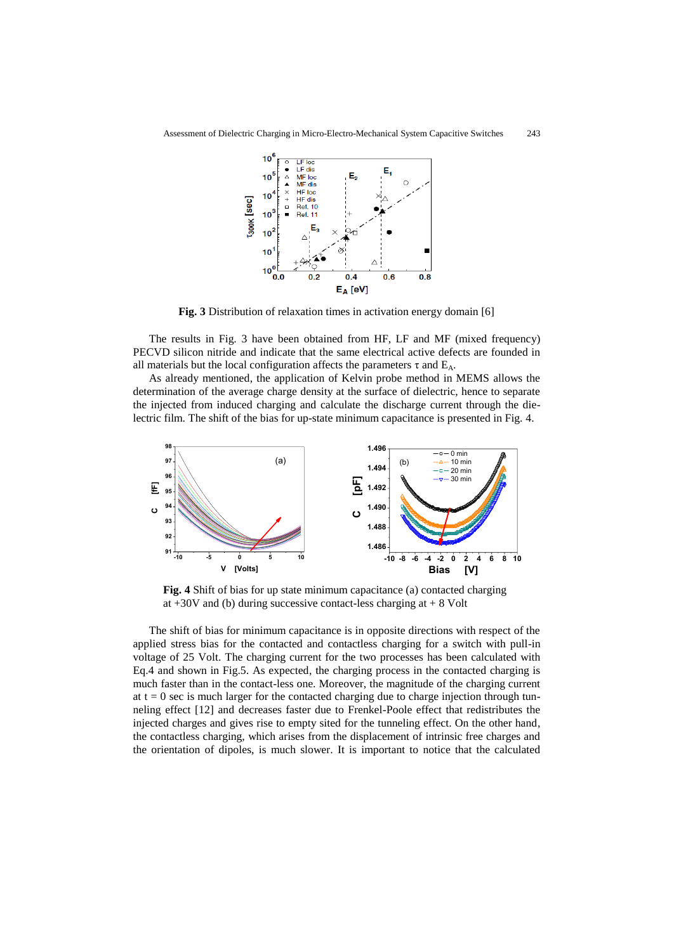

**Fig. 3** Distribution of relaxation times in activation energy domain [6]

The results in Fig. 3 have been obtained from HF, LF and MF (mixed frequency) PECVD silicon nitride and indicate that the same electrical active defects are founded in all materials but the local configuration affects the parameters  $\tau$  and  $E_A$ .

As already mentioned, the application of Kelvin probe method in MEMS allows the determination of the average charge density at the surface of dielectric, hence to separate the injected from induced charging and calculate the discharge current through the dielectric film. The shift of the bias for up-state minimum capacitance is presented in Fig. 4.



**Fig. 4** Shift of bias for up state minimum capacitance (a) contacted charging at  $+30V$  and (b) during successive contact-less charging at  $+8$  Volt

The shift of bias for minimum capacitance is in opposite directions with respect of the applied stress bias for the contacted and contactless charging for a switch with pull-in voltage of 25 Volt. The charging current for the two processes has been calculated with Eq.4 and shown in Fig.5. As expected, the charging process in the contacted charging is much faster than in the contact-less one. Moreover, the magnitude of the charging current at  $t = 0$  sec is much larger for the contacted charging due to charge injection through tunneling effect [12] and decreases faster due to Frenkel-Poole effect that redistributes the injected charges and gives rise to empty sited for the tunneling effect. On the other hand, the contactless charging, which arises from the displacement of intrinsic free charges and the orientation of dipoles, is much slower. It is important to notice that the calculated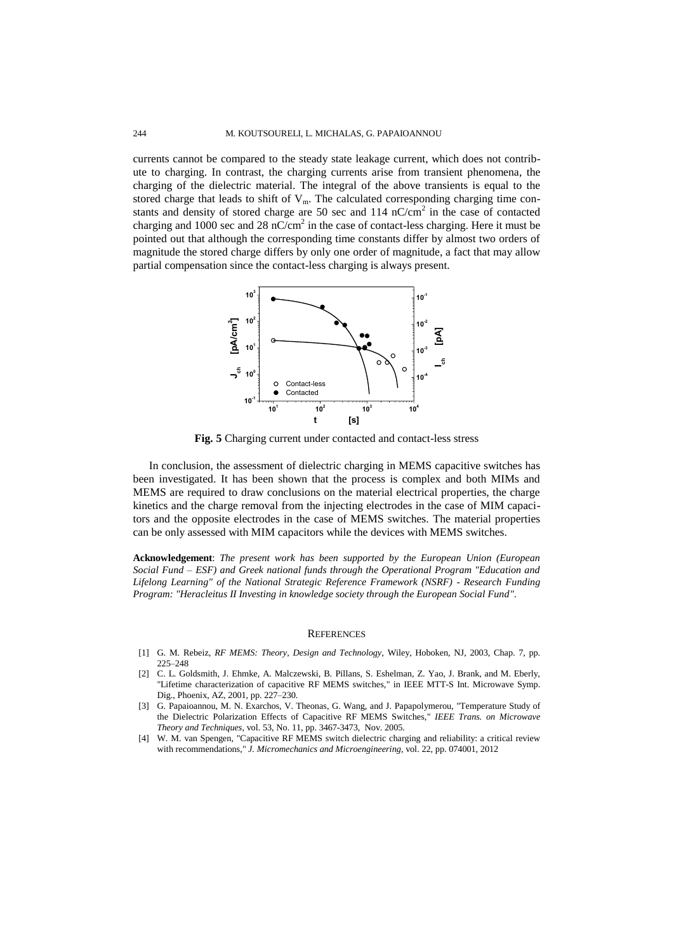currents cannot be compared to the steady state leakage current, which does not contribute to charging. In contrast, the charging currents arise from transient phenomena, the charging of the dielectric material. The integral of the above transients is equal to the stored charge that leads to shift of  $V_m$ . The calculated corresponding charging time constants and density of stored charge are 50 sec and 114  $nC/cm<sup>2</sup>$  in the case of contacted charging and 1000 sec and 28 nC/cm<sup>2</sup> in the case of contact-less charging. Here it must be pointed out that although the corresponding time constants differ by almost two orders of magnitude the stored charge differs by only one order of magnitude, a fact that may allow partial compensation since the contact-less charging is always present.



**Fig. 5** Charging current under contacted and contact-less stress

In conclusion, the assessment of dielectric charging in MEMS capacitive switches has been investigated. It has been shown that the process is complex and both MIMs and MEMS are required to draw conclusions on the material electrical properties, the charge kinetics and the charge removal from the injecting electrodes in the case of MIM capacitors and the opposite electrodes in the case of MEMS switches. The material properties can be only assessed with MIM capacitors while the devices with MEMS switches.

**Acknowledgement**: *The present work has been supported by the European Union (European Social Fund – ESF) and Greek national funds through the Operational Program "Education and Lifelong Learning" of the National Strategic Reference Framework (NSRF) - Research Funding Program: "Heracleitus II Investing in knowledge society through the European Social Fund".*

#### **REFERENCES**

- [1] G. M. Rebeiz, *RF MEMS: Theory, Design and Technology*, Wiley, Hoboken, NJ, 2003, Chap. 7, pp. 225–248
- [2] C. L. Goldsmith, J. Ehmke, A. Malczewski, B. Pillans, S. Eshelman, Z. Yao, J. Brank, and M. Eberly, "Lifetime characterization of capacitive RF MEMS switches," in IEEE MTT-S Int. Microwave Symp. Dig., Phoenix, AZ, 2001, pp. 227–230.
- [3] G. Papaioannou, M. N. Exarchos, V. Theonas, G. Wang, and J. Papapolymerou, "Temperature Study of the Dielectric Polarization Effects of Capacitive RF MEMS Switches," *IEEE Trans. on Microwave Theory and Techniques*, vol. 53, No. 11, pp. 3467-3473, Nov. 2005.
- [4] W. M. van Spengen, "Capacitive RF MEMS switch dielectric charging and reliability: a critical review with recommendations," *J. Micromechanics and Microengineering*, vol. 22, pp. 074001, 2012